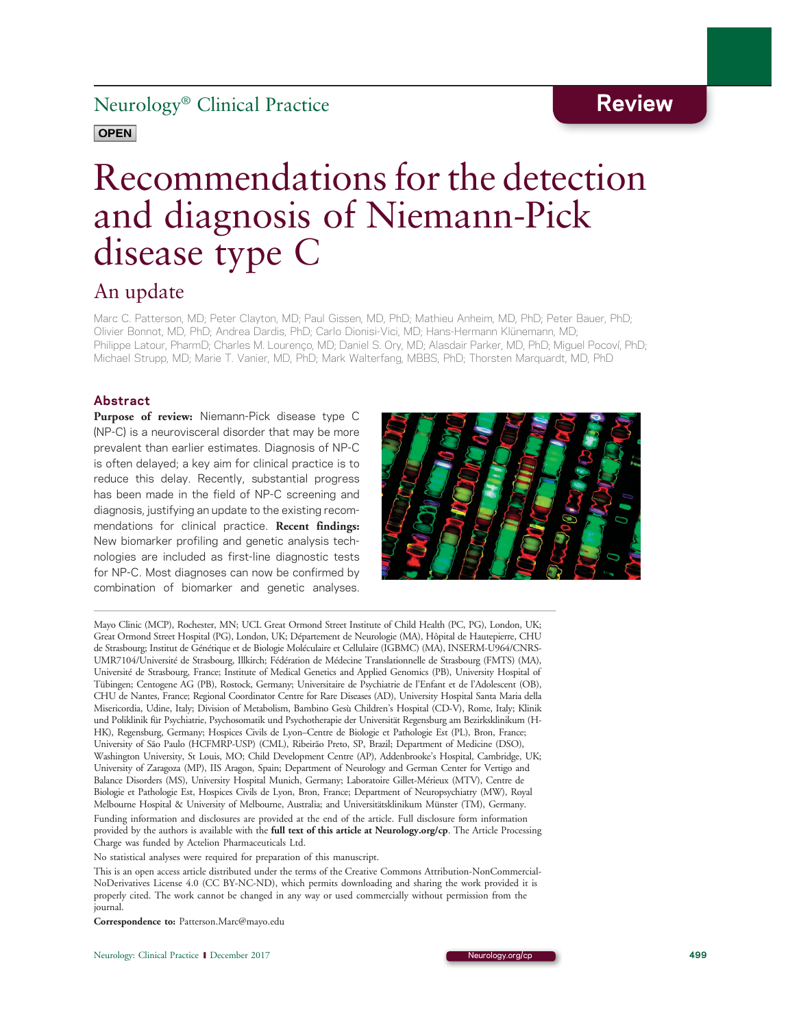### Neurology® Clinical Practice Review

### **OPEN**

# Recommendations for the detection and diagnosis of Niemann-Pick disease type C

### An update

Marc C. Patterson, MD; Peter Clayton, MD; Paul Gissen, MD, PhD; Mathieu Anheim, MD, PhD; Peter Bauer, PhD; Olivier Bonnot, MD, PhD; Andrea Dardis, PhD; Carlo Dionisi-Vici, MD; Hans-Hermann Klünemann, MD; Philippe Latour, PharmD; Charles M. Lourenço, MD; Daniel S. Ory, MD; Alasdair Parker, MD, PhD; Miguel Pocoví, PhD; Michael Strupp, MD; Marie T. Vanier, MD, PhD; Mark Walterfang, MBBS, PhD; Thorsten Marquardt, MD, PhD

### Abstract

Purpose of review: Niemann-Pick disease type C (NP-C) is a neurovisceral disorder that may be more prevalent than earlier estimates. Diagnosis of NP-C is often delayed; a key aim for clinical practice is to reduce this delay. Recently, substantial progress has been made in the field of NP-C screening and diagnosis, justifying an update to the existing recommendations for clinical practice. Recent findings: New biomarker profiling and genetic analysis technologies are included as first-line diagnostic tests for NP-C. Most diagnoses can now be confirmed by combination of biomarker and genetic analyses.



Mayo Clinic (MCP), Rochester, MN; UCL Great Ormond Street Institute of Child Health (PC, PG), London, UK; Great Ormond Street Hospital (PG), London, UK; Département de Neurologie (MA), Hôpital de Hautepierre, CHU de Strasbourg; Institut de Génétique et de Biologie Moléculaire et Cellulaire (IGBMC) (MA), INSERM-U964/CNRS-UMR7104/Université de Strasbourg, Illkirch; Fédération de Médecine Translationnelle de Strasbourg (FMTS) (MA), Université de Strasbourg, France; Institute of Medical Genetics and Applied Genomics (PB), University Hospital of Tübingen; Centogene AG (PB), Rostock, Germany; Universitaire de Psychiatrie de l'Enfant et de l'Adolescent (OB), CHU de Nantes, France; Regional Coordinator Centre for Rare Diseases (AD), University Hospital Santa Maria della Misericordia, Udine, Italy; Division of Metabolism, Bambino Gesù Children's Hospital (CD-V), Rome, Italy; Klinik und Poliklinik für Psychiatrie, Psychosomatik und Psychotherapie der Universität Regensburg am Bezirksklinikum (H-HK), Regensburg, Germany; Hospices Civils de Lyon–Centre de Biologie et Pathologie Est (PL), Bron, France; University of São Paulo (HCFMRP-USP) (CML), Ribeirão Preto, SP, Brazil; Department of Medicine (DSO), Washington University, St Louis, MO; Child Development Centre (AP), Addenbrooke's Hospital, Cambridge, UK; University of Zaragoza (MP), IIS Aragon, Spain; Department of Neurology and German Center for Vertigo and Balance Disorders (MS), University Hospital Munich, Germany; Laboratoire Gillet-Mérieux (MTV), Centre de Biologie et Pathologie Est, Hospices Civils de Lyon, Bron, France; Department of Neuropsychiatry (MW), Royal Melbourne Hospital & University of Melbourne, Australia; and Universitätsklinikum Münster (TM), Germany. Funding information and disclosures are provided at the end of the article. Full disclosure form information

provided by the authors is available with the [full text of this article at Neurology.org/cp](http://cp.neurology.org/lookup/doi/10.1212/CPJ.0000000000000399). The Article Processing Charge was funded by Actelion Pharmaceuticals Ltd.

No statistical analyses were required for preparation of this manuscript.

This is an open access article distributed under the terms of the [Creative Commons Attribution-NonCommercial-](http://creativecommons.org/licenses/by-nc-nd/4.0/)[NoDerivatives License 4.0 \(CC BY-NC-ND\),](http://creativecommons.org/licenses/by-nc-nd/4.0/) which permits downloading and sharing the work provided it is properly cited. The work cannot be changed in any way or used commercially without permission from the journal.

Correspondence to: Patterson.Marc@mayo.edu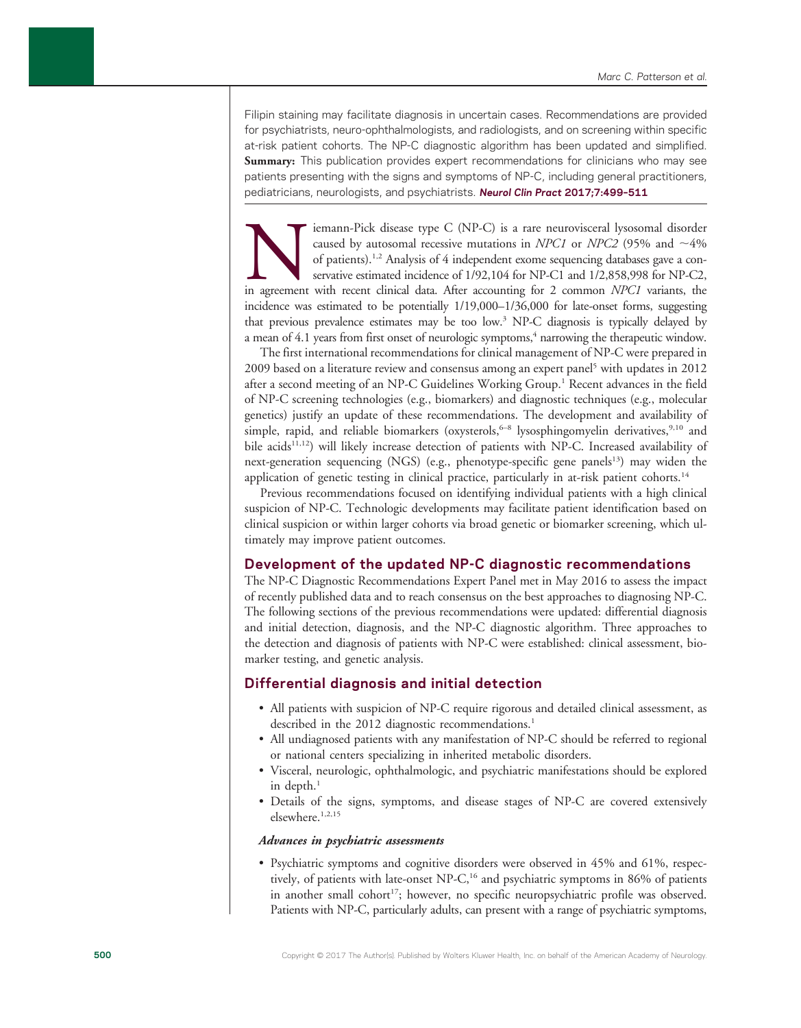Filipin staining may facilitate diagnosis in uncertain cases. Recommendations are provided for psychiatrists, neuro-ophthalmologists, and radiologists, and on screening within specific at-risk patient cohorts. The NP-C diagnostic algorithm has been updated and simplified. Summary: This publication provides expert recommendations for clinicians who may see patients presenting with the signs and symptoms of NP-C, including general practitioners, pediatricians, neurologists, and psychiatrists. Neurol Clin Pract 2017;7:499-511

Imann-Pick disease type C (NP-C) is a rare neurovisceral lysosomal disorder caused by autosomal recessive mutations in *NPC1* or *NPC2* (95% and ~4% of patients).<sup>1,2</sup> Analysis of 4 independent exome sequencing databases g caused by autosomal recessive mutations in NPC1 or NPC2 (95% and  $\sim$ 4% of patients).1,2 Analysis of 4 independent exome sequencing databases gave a conservative estimated incidence of 1/92,104 for NP-C1 and 1/2,858,998 for NP-C2, incidence was estimated to be potentially 1/19,000–1/36,000 for late-onset forms, suggesting that previous prevalence estimates may be too low.3 NP-C diagnosis is typically delayed by a mean of 4.1 years from first onset of neurologic symptoms,<sup>4</sup> narrowing the therapeutic window.

The first international recommendations for clinical management of NP-C were prepared in 2009 based on a literature review and consensus among an expert panel5 with updates in 2012 after a second meeting of an NP-C Guidelines Working Group.<sup>1</sup> Recent advances in the field of NP-C screening technologies (e.g., biomarkers) and diagnostic techniques (e.g., molecular genetics) justify an update of these recommendations. The development and availability of simple, rapid, and reliable biomarkers (oxysterols,  $6-8$  lysosphingomyelin derivatives,  $9,10$  and bile acids<sup>11,12</sup>) will likely increase detection of patients with NP-C. Increased availability of next-generation sequencing (NGS) (e.g., phenotype-specific gene panels<sup>13</sup>) may widen the application of genetic testing in clinical practice, particularly in at-risk patient cohorts.<sup>14</sup>

Previous recommendations focused on identifying individual patients with a high clinical suspicion of NP-C. Technologic developments may facilitate patient identification based on clinical suspicion or within larger cohorts via broad genetic or biomarker screening, which ultimately may improve patient outcomes.

### Development of the updated NP-C diagnostic recommendations

The NP-C Diagnostic Recommendations Expert Panel met in May 2016 to assess the impact of recently published data and to reach consensus on the best approaches to diagnosing NP-C. The following sections of the previous recommendations were updated: differential diagnosis and initial detection, diagnosis, and the NP-C diagnostic algorithm. Three approaches to the detection and diagnosis of patients with NP-C were established: clinical assessment, biomarker testing, and genetic analysis.

### Differential diagnosis and initial detection

- All patients with suspicion of NP-C require rigorous and detailed clinical assessment, as described in the 2012 diagnostic recommendations.<sup>1</sup>
- All undiagnosed patients with any manifestation of NP-C should be referred to regional or national centers specializing in inherited metabolic disorders.
- Visceral, neurologic, ophthalmologic, and psychiatric manifestations should be explored in depth. $<sup>1</sup>$ </sup>
- Details of the signs, symptoms, and disease stages of NP-C are covered extensively elsewhere.<sup>1,2,15</sup>

#### Advances in psychiatric assessments

• Psychiatric symptoms and cognitive disorders were observed in 45% and 61%, respectively, of patients with late-onset NP-C,<sup>16</sup> and psychiatric symptoms in 86% of patients in another small cohort<sup>17</sup>; however, no specific neuropsychiatric profile was observed. Patients with NP-C, particularly adults, can present with a range of psychiatric symptoms,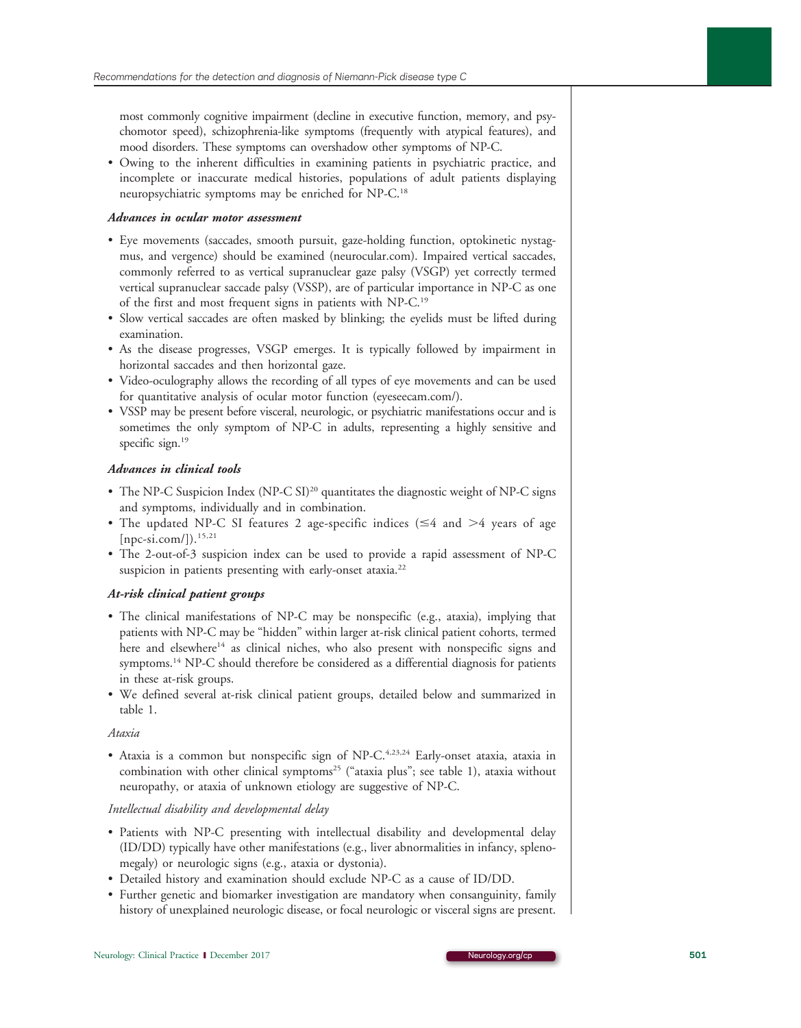most commonly cognitive impairment (decline in executive function, memory, and psychomotor speed), schizophrenia-like symptoms (frequently with atypical features), and mood disorders. These symptoms can overshadow other symptoms of NP-C.

• Owing to the inherent difficulties in examining patients in psychiatric practice, and incomplete or inaccurate medical histories, populations of adult patients displaying neuropsychiatric symptoms may be enriched for NP-C.18

### Advances in ocular motor assessment

- Eye movements (saccades, smooth pursuit, gaze-holding function, optokinetic nystagmus, and vergence) should be examined [\(neurocular.com\)](http://www.neurocular.com/). Impaired vertical saccades, commonly referred to as vertical supranuclear gaze palsy (VSGP) yet correctly termed vertical supranuclear saccade palsy (VSSP), are of particular importance in NP-C as one of the first and most frequent signs in patients with NP-C.19
- Slow vertical saccades are often masked by blinking; the eyelids must be lifted during examination.
- As the disease progresses, VSGP emerges. It is typically followed by impairment in horizontal saccades and then horizontal gaze.
- Video-oculography allows the recording of all types of eye movements and can be used for quantitative analysis of ocular motor function [\(eyeseecam.com/](http://eyeseecam.com/)).
- VSSP may be present before visceral, neurologic, or psychiatric manifestations occur and is sometimes the only symptom of NP-C in adults, representing a highly sensitive and specific sign.<sup>19</sup>

### Advances in clinical tools

- The NP-C Suspicion Index (NP-C SI)<sup>20</sup> quantitates the diagnostic weight of NP-C signs and symptoms, individually and in combination.
- The updated NP-C SI features 2 age-specific indices ( $\leq 4$  and  $> 4$  years of age  $[npc-si.com/$  $[npc-si.com/$ ]).<sup>15,21</sup>
- The 2-out-of-3 suspicion index can be used to provide a rapid assessment of NP-C suspicion in patients presenting with early-onset ataxia.<sup>22</sup>

### At-risk clinical patient groups

- The clinical manifestations of NP-C may be nonspecific (e.g., ataxia), implying that patients with NP-C may be "hidden" within larger at-risk clinical patient cohorts, termed here and elsewhere<sup>14</sup> as clinical niches, who also present with nonspecific signs and symptoms.<sup>14</sup> NP-C should therefore be considered as a differential diagnosis for patients in these at-risk groups.
- We defined several at-risk clinical patient groups, detailed below and summarized in table 1.

### Ataxia

• Ataxia is a common but nonspecific sign of NP-C.<sup>4,23,24</sup> Early-onset ataxia, ataxia in combination with other clinical symptoms<sup>25</sup> ("ataxia plus"; see table 1), ataxia without neuropathy, or ataxia of unknown etiology are suggestive of NP-C.

### Intellectual disability and developmental delay

- Patients with NP-C presenting with intellectual disability and developmental delay (ID/DD) typically have other manifestations (e.g., liver abnormalities in infancy, splenomegaly) or neurologic signs (e.g., ataxia or dystonia).
- Detailed history and examination should exclude NP-C as a cause of ID/DD.
- Further genetic and biomarker investigation are mandatory when consanguinity, family history of unexplained neurologic disease, or focal neurologic or visceral signs are present.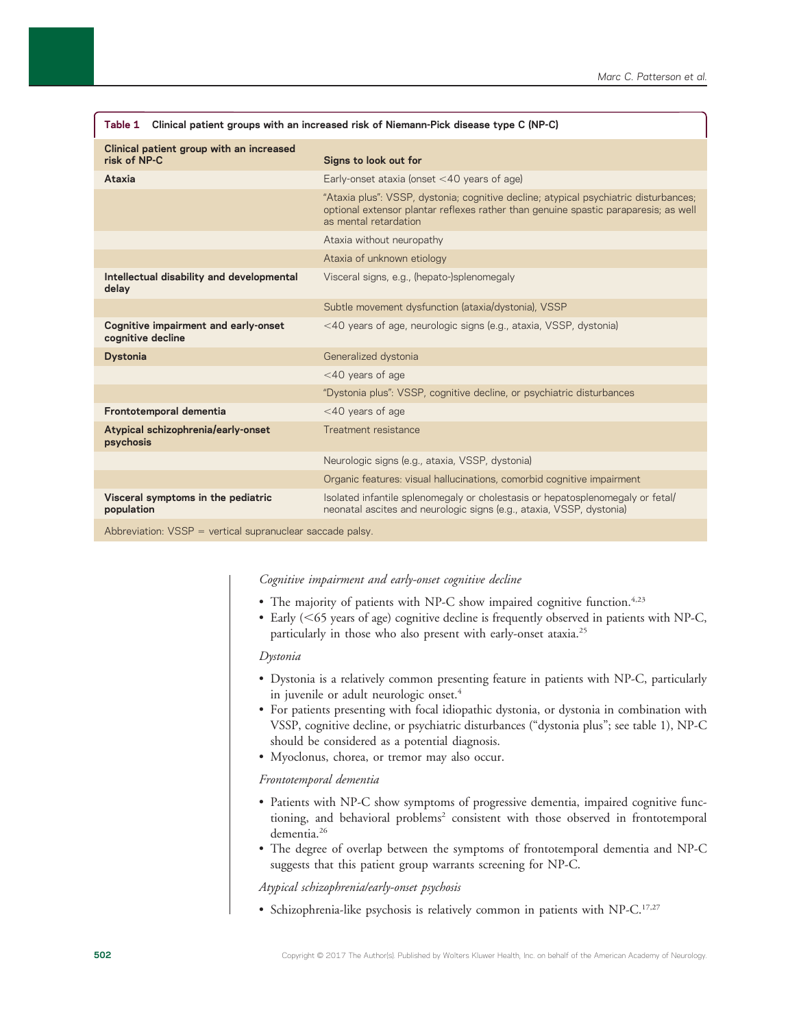| Clinical patient groups with an increased risk of Niemann-Pick disease type C (NP-C)<br>Table 1                                                                                                                                                                                                                                                   |                                                                                                                                                                                                      |
|---------------------------------------------------------------------------------------------------------------------------------------------------------------------------------------------------------------------------------------------------------------------------------------------------------------------------------------------------|------------------------------------------------------------------------------------------------------------------------------------------------------------------------------------------------------|
| Clinical patient group with an increased<br>risk of NP-C                                                                                                                                                                                                                                                                                          | Signs to look out for                                                                                                                                                                                |
| Ataxia                                                                                                                                                                                                                                                                                                                                            | Early-onset ataxia (onset $<$ 40 years of age)                                                                                                                                                       |
|                                                                                                                                                                                                                                                                                                                                                   | "Ataxia plus": VSSP, dystonia; cognitive decline; atypical psychiatric disturbances;<br>optional extensor plantar reflexes rather than genuine spastic paraparesis; as well<br>as mental retardation |
|                                                                                                                                                                                                                                                                                                                                                   | Ataxia without neuropathy                                                                                                                                                                            |
|                                                                                                                                                                                                                                                                                                                                                   | Ataxia of unknown etiology                                                                                                                                                                           |
| Intellectual disability and developmental<br>delay                                                                                                                                                                                                                                                                                                | Visceral signs, e.g., (hepato-)splenomegaly                                                                                                                                                          |
|                                                                                                                                                                                                                                                                                                                                                   | Subtle movement dysfunction (ataxia/dystonia), VSSP                                                                                                                                                  |
| Cognitive impairment and early-onset<br>cognitive decline                                                                                                                                                                                                                                                                                         | <40 years of age, neurologic signs (e.g., ataxia, VSSP, dystonia)                                                                                                                                    |
| <b>Dystonia</b>                                                                                                                                                                                                                                                                                                                                   | Generalized dystonia                                                                                                                                                                                 |
|                                                                                                                                                                                                                                                                                                                                                   | $<$ 40 years of age                                                                                                                                                                                  |
|                                                                                                                                                                                                                                                                                                                                                   | "Dystonia plus": VSSP, cognitive decline, or psychiatric disturbances                                                                                                                                |
| Frontotemporal dementia                                                                                                                                                                                                                                                                                                                           | $<$ 40 years of age                                                                                                                                                                                  |
| Atypical schizophrenia/early-onset<br>psychosis                                                                                                                                                                                                                                                                                                   | Treatment resistance                                                                                                                                                                                 |
|                                                                                                                                                                                                                                                                                                                                                   | Neurologic signs (e.g., ataxia, VSSP, dystonia)                                                                                                                                                      |
|                                                                                                                                                                                                                                                                                                                                                   | Organic features: visual hallucinations, comorbid cognitive impairment                                                                                                                               |
| Visceral symptoms in the pediatric<br>population                                                                                                                                                                                                                                                                                                  | Isolated infantile splenomegaly or cholestasis or hepatosplenomegaly or fetal/<br>neonatal ascites and neurologic signs (e.g., ataxia, VSSP, dystonia)                                               |
| $\mathbf{A} \mathbf{I}$ , $\mathbf{I} \mathbf{A}$ , $\mathbf{A} \mathbf{A}$ , $\mathbf{A} \mathbf{A}$ , $\mathbf{A} \mathbf{A}$ , $\mathbf{A} \mathbf{A}$ , $\mathbf{A} \mathbf{A}$ , $\mathbf{A} \mathbf{A}$ , $\mathbf{A} \mathbf{A}$ , $\mathbf{A} \mathbf{A}$ , $\mathbf{A} \mathbf{A}$ , $\mathbf{A} \mathbf{A}$ , $\mathbf{A} \mathbf{A}$ , |                                                                                                                                                                                                      |

 ${\sf Ab}$ reviation:  ${\sf VSSP}$  = vertical supranuclear saccade palsy

### Cognitive impairment and early-onset cognitive decline

- The majority of patients with NP-C show impaired cognitive function.<sup>4,23</sup>
- Early  $(<\,65$  years of age) cognitive decline is frequently observed in patients with NP-C, particularly in those who also present with early-onset ataxia.25

#### Dystonia

- Dystonia is a relatively common presenting feature in patients with NP-C, particularly in juvenile or adult neurologic onset.<sup>4</sup>
- For patients presenting with focal idiopathic dystonia, or dystonia in combination with VSSP, cognitive decline, or psychiatric disturbances ("dystonia plus"; see table 1), NP-C should be considered as a potential diagnosis.
- Myoclonus, chorea, or tremor may also occur.

### Frontotemporal dementia

- Patients with NP-C show symptoms of progressive dementia, impaired cognitive functioning, and behavioral problems<sup>2</sup> consistent with those observed in frontotemporal dementia.<sup>26</sup>
- The degree of overlap between the symptoms of frontotemporal dementia and NP-C suggests that this patient group warrants screening for NP-C.

Atypical schizophrenia/early-onset psychosis

• Schizophrenia-like psychosis is relatively common in patients with NP-C.<sup>17,27</sup>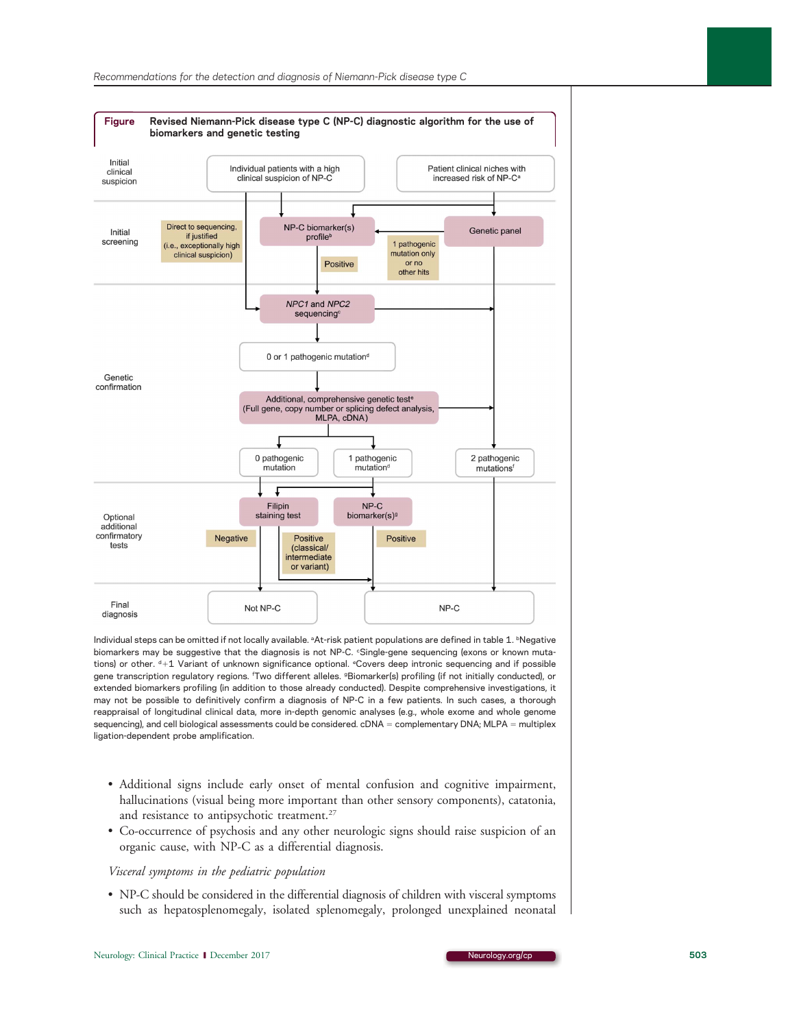

Individual steps can be omitted if not locally available. <sup>a</sup>At-risk patient populations are defined in table 1. <sup>b</sup>Negative biomarkers may be suggestive that the diagnosis is not NP-C. °Single-gene sequencing (exons or known mutations) or other. <sup>d</sup>+1 Variant of unknown significance optional. °Covers deep intronic sequencing and if possible gene transcription regulatory regions. 'Two different alleles. <sup>g</sup>Biomarker(s) profiling (if not initially conducted), or extended biomarkers profiling (in addition to those already conducted). Despite comprehensive investigations, it may not be possible to definitively confirm a diagnosis of NP-C in a few patients. In such cases, a thorough reappraisal of longitudinal clinical data, more in-depth genomic analyses (e.g., whole exome and whole genome sequencing), and cell biological assessments could be considered. cDNA = complementary DNA; MLPA = multiplex ligation-dependent probe amplification.

- Additional signs include early onset of mental confusion and cognitive impairment, hallucinations (visual being more important than other sensory components), catatonia, and resistance to antipsychotic treatment.<sup>27</sup>
- Co-occurrence of psychosis and any other neurologic signs should raise suspicion of an organic cause, with NP-C as a differential diagnosis.

#### Visceral symptoms in the pediatric population

• NP-C should be considered in the differential diagnosis of children with visceral symptoms such as hepatosplenomegaly, isolated splenomegaly, prolonged unexplained neonatal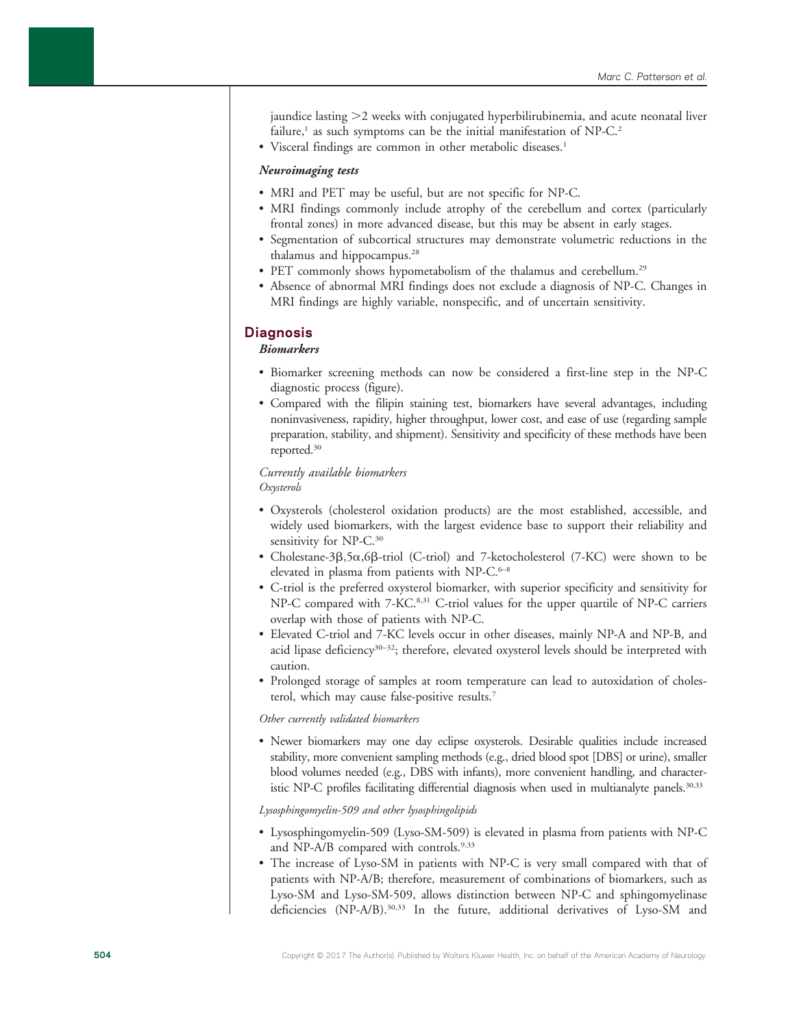jaundice lasting  $>2$  weeks with conjugated hyperbilirubinemia, and acute neonatal liver failure,<sup>1</sup> as such symptoms can be the initial manifestation of NP-C.<sup>2</sup>

• Visceral findings are common in other metabolic diseases.<sup>1</sup>

### Neuroimaging tests

- MRI and PET may be useful, but are not specific for NP-C.
- MRI findings commonly include atrophy of the cerebellum and cortex (particularly frontal zones) in more advanced disease, but this may be absent in early stages.
- Segmentation of subcortical structures may demonstrate volumetric reductions in the thalamus and hippocampus.<sup>28</sup>
- PET commonly shows hypometabolism of the thalamus and cerebellum.<sup>29</sup>
- Absence of abnormal MRI findings does not exclude a diagnosis of NP-C. Changes in MRI findings are highly variable, nonspecific, and of uncertain sensitivity.

### **Diagnosis**

### Biomarkers

- Biomarker screening methods can now be considered a first-line step in the NP-C diagnostic process (figure).
- Compared with the filipin staining test, biomarkers have several advantages, including noninvasiveness, rapidity, higher throughput, lower cost, and ease of use (regarding sample preparation, stability, and shipment). Sensitivity and specificity of these methods have been reported.30

### Currently available biomarkers Oxysterols

- Oxysterols (cholesterol oxidation products) are the most established, accessible, and widely used biomarkers, with the largest evidence base to support their reliability and sensitivity for NP-C.<sup>30</sup>
- Cholestane-3 $\beta$ ,5 $\alpha$ ,6 $\beta$ -triol (C-triol) and 7-ketocholesterol (7-KC) were shown to be elevated in plasma from patients with NP- $C_{\cdot}^{\text{6-8}}$
- C-triol is the preferred oxysterol biomarker, with superior specificity and sensitivity for NP-C compared with 7-KC.<sup>8,31</sup> C-triol values for the upper quartile of NP-C carriers overlap with those of patients with NP-C.
- Elevated C-triol and 7-KC levels occur in other diseases, mainly NP-A and NP-B, and acid lipase deficiency<sup>30–32</sup>; therefore, elevated oxysterol levels should be interpreted with caution.
- Prolonged storage of samples at room temperature can lead to autoxidation of cholesterol, which may cause false-positive results.7

### Other currently validated biomarkers

• Newer biomarkers may one day eclipse oxysterols. Desirable qualities include increased stability, more convenient sampling methods (e.g., dried blood spot [DBS] or urine), smaller blood volumes needed (e.g., DBS with infants), more convenient handling, and characteristic NP-C profiles facilitating differential diagnosis when used in multianalyte panels.<sup>30,33</sup>

### Lysosphingomyelin-509 and other lysosphingolipids

- Lysosphingomyelin-509 (Lyso-SM-509) is elevated in plasma from patients with NP-C and NP-A/B compared with controls.<sup>9,33</sup>
- The increase of Lyso-SM in patients with NP-C is very small compared with that of patients with NP-A/B; therefore, measurement of combinations of biomarkers, such as Lyso-SM and Lyso-SM-509, allows distinction between NP-C and sphingomyelinase deficiencies (NP-A/B).30,33 In the future, additional derivatives of Lyso-SM and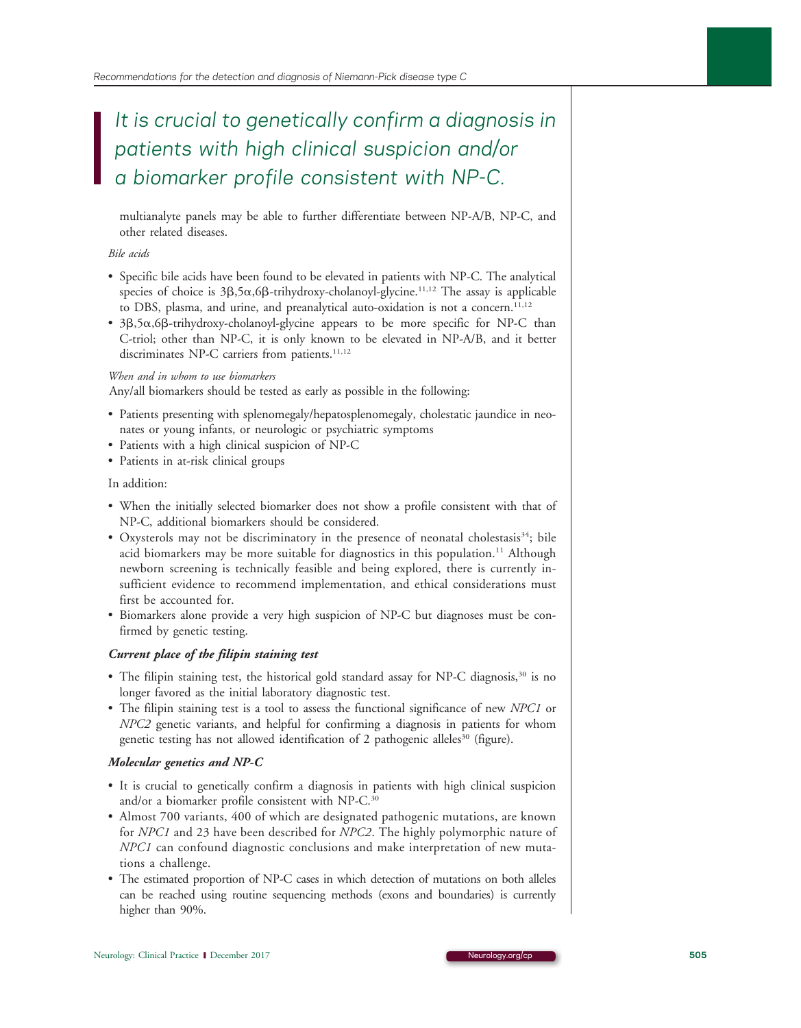## It is crucial to genetically confirm a diagnosis in patients with high clinical suspicion and/or a biomarker profile consistent with NP-C.

multianalyte panels may be able to further differentiate between NP-A/B, NP-C, and other related diseases.

### Bile acids

- Specific bile acids have been found to be elevated in patients with NP-C. The analytical species of choice is  $3\beta$ ,5 $\alpha$ ,6 $\beta$ -trihydroxy-cholanoyl-glycine.<sup>11,12</sup> The assay is applicable to DBS, plasma, and urine, and preanalytical auto-oxidation is not a concern.<sup>11,12</sup>
- $3\beta, 5\alpha, 6\beta$ -trihydroxy-cholanoyl-glycine appears to be more specific for NP-C than C-triol; other than NP-C, it is only known to be elevated in NP-A/B, and it better discriminates NP-C carriers from patients.<sup>11,12</sup>

### When and in whom to use biomarkers

Any/all biomarkers should be tested as early as possible in the following:

- Patients presenting with splenomegaly/hepatosplenomegaly, cholestatic jaundice in neonates or young infants, or neurologic or psychiatric symptoms
- Patients with a high clinical suspicion of NP-C
- Patients in at-risk clinical groups

### In addition:

- When the initially selected biomarker does not show a profile consistent with that of NP-C, additional biomarkers should be considered.
- Oxysterols may not be discriminatory in the presence of neonatal cholestasis<sup>34</sup>; bile acid biomarkers may be more suitable for diagnostics in this population.<sup>11</sup> Although newborn screening is technically feasible and being explored, there is currently insufficient evidence to recommend implementation, and ethical considerations must first be accounted for.
- Biomarkers alone provide a very high suspicion of NP-C but diagnoses must be confirmed by genetic testing.

### Current place of the filipin staining test

- The filipin staining test, the historical gold standard assay for NP-C diagnosis, $30$  is no longer favored as the initial laboratory diagnostic test.
- The filipin staining test is a tool to assess the functional significance of new NPC1 or NPC2 genetic variants, and helpful for confirming a diagnosis in patients for whom genetic testing has not allowed identification of 2 pathogenic alleles<sup>30</sup> (figure).

### Molecular genetics and NP-C

- It is crucial to genetically confirm a diagnosis in patients with high clinical suspicion and/or a biomarker profile consistent with NP-C.<sup>30</sup>
- Almost 700 variants, 400 of which are designated pathogenic mutations, are known for NPC1 and 23 have been described for NPC2. The highly polymorphic nature of NPC1 can confound diagnostic conclusions and make interpretation of new mutations a challenge.
- The estimated proportion of NP-C cases in which detection of mutations on both alleles can be reached using routine sequencing methods (exons and boundaries) is currently higher than 90%.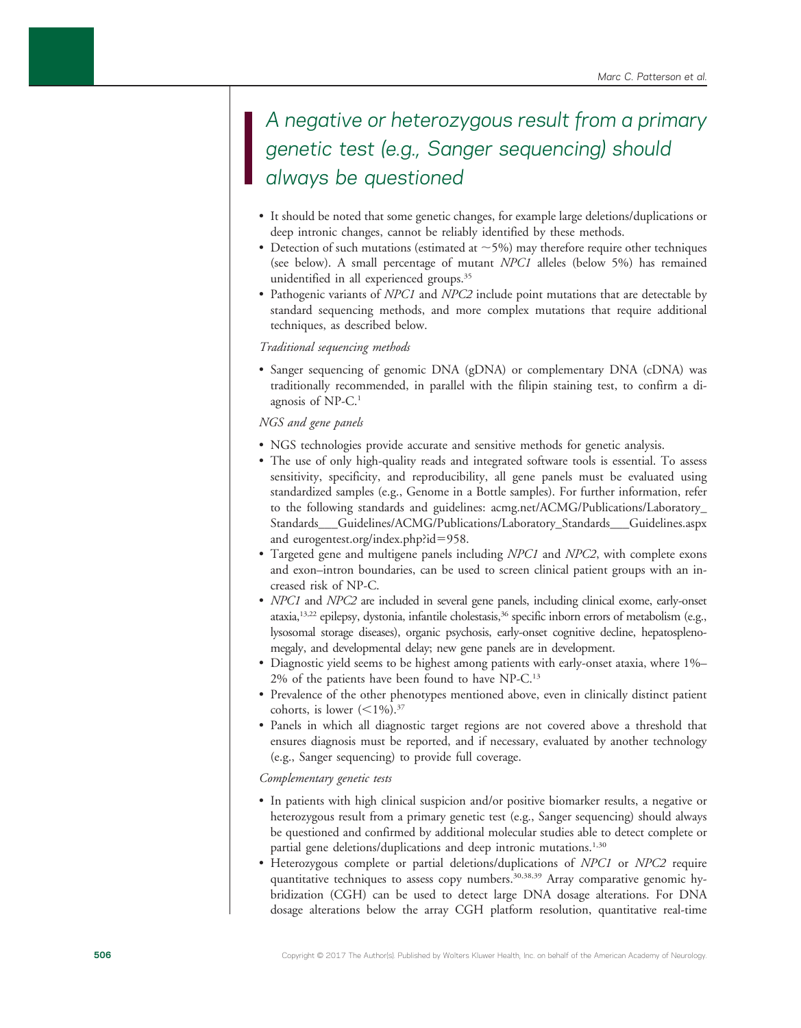### A negative or heterozygous result from a primary genetic test (e.g., Sanger sequencing) should always be questioned

- It should be noted that some genetic changes, for example large deletions/duplications or deep intronic changes, cannot be reliably identified by these methods.
- Detection of such mutations (estimated at  $\sim$  5%) may therefore require other techniques (see below). A small percentage of mutant NPC1 alleles (below 5%) has remained unidentified in all experienced groups.<sup>35</sup>
- Pathogenic variants of *NPC1* and *NPC2* include point mutations that are detectable by standard sequencing methods, and more complex mutations that require additional techniques, as described below.

### Traditional sequencing methods

• Sanger sequencing of genomic DNA (gDNA) or complementary DNA (cDNA) was traditionally recommended, in parallel with the filipin staining test, to confirm a diagnosis of NP-C.<sup>1</sup>

### NGS and gene panels

- NGS technologies provide accurate and sensitive methods for genetic analysis.
- The use of only high-quality reads and integrated software tools is essential. To assess sensitivity, specificity, and reproducibility, all gene panels must be evaluated using standardized samples (e.g., Genome in a Bottle samples). For further information, refer to the following standards and guidelines: [acmg.net/ACMG/Publications/Laboratory\\_](http://www.acmg.net/ACMG/Publications/Laboratory_Standards___Guidelines/ACMG/Publications/Laboratory_Standards___Guidelines.aspx) [Standards\\_\\_\\_Guidelines/ACMG/Publications/Laboratory\\_Standards\\_\\_\\_Guidelines.aspx](http://www.acmg.net/ACMG/Publications/Laboratory_Standards___Guidelines/ACMG/Publications/Laboratory_Standards___Guidelines.aspx) and [eurogentest.org/index.php?id](http://www.eurogentest.org/index.php?id=958)=[958.](http://www.eurogentest.org/index.php?id=958)
- Targeted gene and multigene panels including NPC1 and NPC2, with complete exons and exon–intron boundaries, can be used to screen clinical patient groups with an increased risk of NP-C.
- NPC1 and NPC2 are included in several gene panels, including clinical exome, early-onset ataxia,<sup>13,22</sup> epilepsy, dystonia, infantile cholestasis,<sup>36</sup> specific inborn errors of metabolism (e.g., lysosomal storage diseases), organic psychosis, early-onset cognitive decline, hepatosplenomegaly, and developmental delay; new gene panels are in development.
- Diagnostic yield seems to be highest among patients with early-onset ataxia, where 1%– 2% of the patients have been found to have NP-C.13
- Prevalence of the other phenotypes mentioned above, even in clinically distinct patient cohorts, is lower  $(<1\%)$ .<sup>37</sup>
- Panels in which all diagnostic target regions are not covered above a threshold that ensures diagnosis must be reported, and if necessary, evaluated by another technology (e.g., Sanger sequencing) to provide full coverage.

### Complementary genetic tests

- In patients with high clinical suspicion and/or positive biomarker results, a negative or heterozygous result from a primary genetic test (e.g., Sanger sequencing) should always be questioned and confirmed by additional molecular studies able to detect complete or partial gene deletions/duplications and deep intronic mutations.<sup>1,30</sup>
- Heterozygous complete or partial deletions/duplications of NPC1 or NPC2 require quantitative techniques to assess copy numbers.<sup>30,38,39</sup> Array comparative genomic hybridization (CGH) can be used to detect large DNA dosage alterations. For DNA dosage alterations below the array CGH platform resolution, quantitative real-time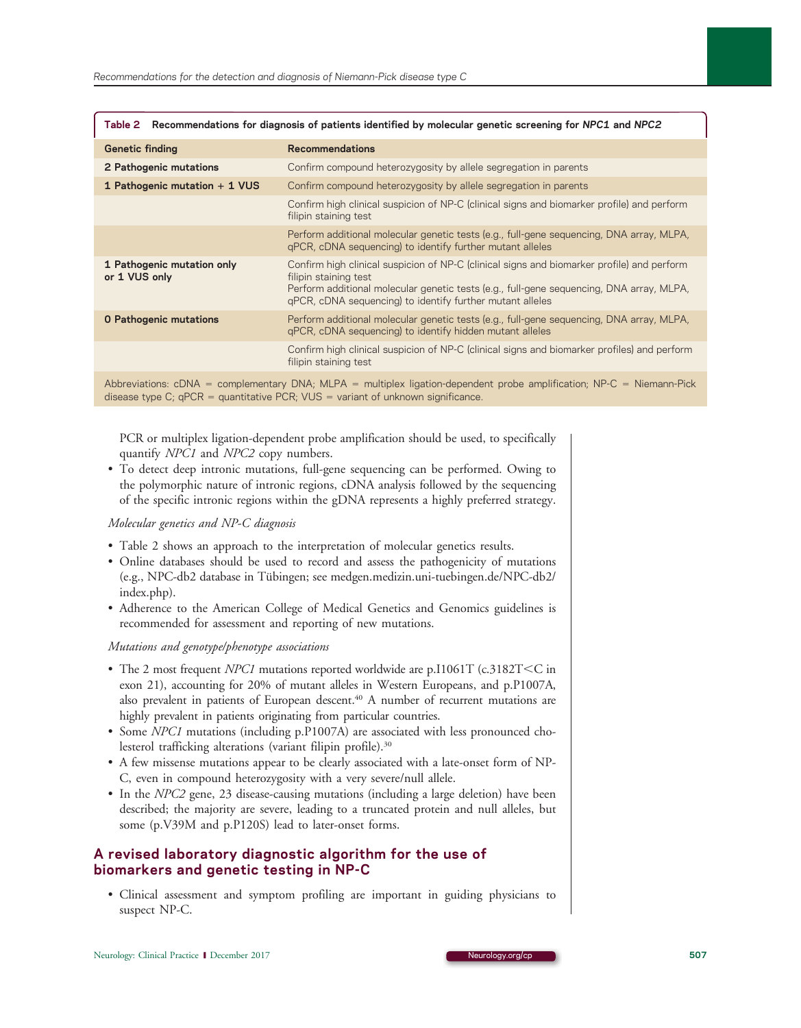| Table 2 Recommendations for diagnosis of patients identified by molecular genetic screening for NPC1 and NPC2 |                                                                                                                                                                                                                                                                              |
|---------------------------------------------------------------------------------------------------------------|------------------------------------------------------------------------------------------------------------------------------------------------------------------------------------------------------------------------------------------------------------------------------|
| <b>Genetic finding</b>                                                                                        | <b>Recommendations</b>                                                                                                                                                                                                                                                       |
| 2 Pathogenic mutations                                                                                        | Confirm compound heterozygosity by allele segregation in parents                                                                                                                                                                                                             |
| 1 Pathogenic mutation + 1 VUS                                                                                 | Confirm compound heterozygosity by allele segregation in parents                                                                                                                                                                                                             |
|                                                                                                               | Confirm high clinical suspicion of NP-C (clinical signs and biomarker profile) and perform<br>filipin staining test                                                                                                                                                          |
|                                                                                                               | Perform additional molecular genetic tests (e.g., full-gene sequencing, DNA array, MLPA,<br>gPCR, cDNA sequencing) to identify further mutant alleles                                                                                                                        |
| 1 Pathogenic mutation only<br>or 1 VUS only                                                                   | Confirm high clinical suspicion of NP-C (clinical signs and biomarker profile) and perform<br>filipin staining test<br>Perform additional molecular genetic tests (e.g., full-gene sequencing, DNA array, MLPA,<br>gPCR, cDNA sequencing) to identify further mutant alleles |
| <b>0 Pathogenic mutations</b>                                                                                 | Perform additional molecular genetic tests (e.g., full-gene sequencing, DNA array, MLPA,<br>qPCR, cDNA sequencing) to identify hidden mutant alleles                                                                                                                         |
|                                                                                                               | Confirm high clinical suspicion of NP-C (clinical signs and biomarker profiles) and perform<br>filipin staining test                                                                                                                                                         |
| Abbreviational DNA La componente DNA MIDA La diplomina dependent proba condification NDO. Nicogene Diele      |                                                                                                                                                                                                                                                                              |

 $\Pi$ ementary DNA; MLPA = multiplex ligation-dependent probe amplification; Ni disease type C;  $qPCR = quantitative PCR$ ; VUS = variant of unknown significance.

PCR or multiplex ligation-dependent probe amplification should be used, to specifically quantify *NPC1* and *NPC2* copy numbers.

• To detect deep intronic mutations, full-gene sequencing can be performed. Owing to the polymorphic nature of intronic regions, cDNA analysis followed by the sequencing of the specific intronic regions within the gDNA represents a highly preferred strategy.

### Molecular genetics and NP-C diagnosis

- Table 2 shows an approach to the interpretation of molecular genetics results.
- Online databases should be used to record and assess the pathogenicity of mutations (e.g., NPC-db2 database in Tübingen; see [medgen.medizin.uni-tuebingen.de/NPC-db2/](https://medgen.medizin.uni-tuebingen.de/NPC-db2/index.php) [index.php](https://medgen.medizin.uni-tuebingen.de/NPC-db2/index.php)).
- Adherence to the American College of Medical Genetics and Genomics guidelines is recommended for assessment and reporting of new mutations.

Mutations and genotype/phenotype associations

- The 2 most frequent NPC1 mutations reported worldwide are p.I1061T (c.3182T<C in exon 21), accounting for 20% of mutant alleles in Western Europeans, and p.P1007A, also prevalent in patients of European descent.<sup>40</sup> A number of recurrent mutations are highly prevalent in patients originating from particular countries.
- Some NPC1 mutations (including p.P1007A) are associated with less pronounced cholesterol trafficking alterations (variant filipin profile).<sup>30</sup>
- A few missense mutations appear to be clearly associated with a late-onset form of NP-C, even in compound heterozygosity with a very severe/null allele.
- In the NPC2 gene, 23 disease-causing mutations (including a large deletion) have been described; the majority are severe, leading to a truncated protein and null alleles, but some (p.V39M and p.P120S) lead to later-onset forms.

### A revised laboratory diagnostic algorithm for the use of biomarkers and genetic testing in NP-C

• Clinical assessment and symptom profiling are important in guiding physicians to suspect NP-C.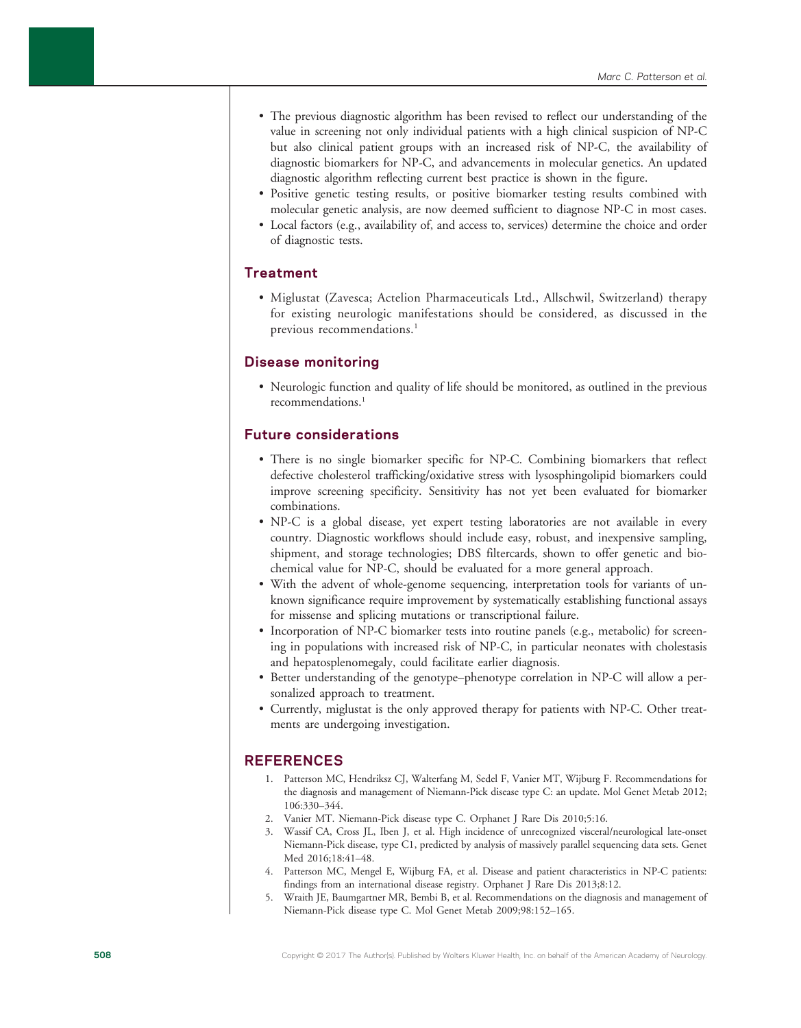- The previous diagnostic algorithm has been revised to reflect our understanding of the value in screening not only individual patients with a high clinical suspicion of NP-C but also clinical patient groups with an increased risk of NP-C, the availability of diagnostic biomarkers for NP-C, and advancements in molecular genetics. An updated diagnostic algorithm reflecting current best practice is shown in the figure.
- Positive genetic testing results, or positive biomarker testing results combined with molecular genetic analysis, are now deemed sufficient to diagnose NP-C in most cases.
- Local factors (e.g., availability of, and access to, services) determine the choice and order of diagnostic tests.

### **Treatment**

• Miglustat (Zavesca; Actelion Pharmaceuticals Ltd., Allschwil, Switzerland) therapy for existing neurologic manifestations should be considered, as discussed in the previous recommendations.<sup>1</sup>

### Disease monitoring

• Neurologic function and quality of life should be monitored, as outlined in the previous recommendations.1

### Future considerations

- There is no single biomarker specific for NP-C. Combining biomarkers that reflect defective cholesterol trafficking/oxidative stress with lysosphingolipid biomarkers could improve screening specificity. Sensitivity has not yet been evaluated for biomarker combinations.
- NP-C is a global disease, yet expert testing laboratories are not available in every country. Diagnostic workflows should include easy, robust, and inexpensive sampling, shipment, and storage technologies; DBS filtercards, shown to offer genetic and biochemical value for NP-C, should be evaluated for a more general approach.
- With the advent of whole-genome sequencing, interpretation tools for variants of unknown significance require improvement by systematically establishing functional assays for missense and splicing mutations or transcriptional failure.
- Incorporation of NP-C biomarker tests into routine panels (e.g., metabolic) for screening in populations with increased risk of NP-C, in particular neonates with cholestasis and hepatosplenomegaly, could facilitate earlier diagnosis.
- Better understanding of the genotype–phenotype correlation in NP-C will allow a personalized approach to treatment.
- Currently, miglustat is the only approved therapy for patients with NP-C. Other treatments are undergoing investigation.

### REFERENCES

- 1. Patterson MC, Hendriksz CJ, Walterfang M, Sedel F, Vanier MT, Wijburg F. Recommendations for the diagnosis and management of Niemann-Pick disease type C: an update. Mol Genet Metab 2012; 106:330–344.
- 2. Vanier MT. Niemann-Pick disease type C. Orphanet J Rare Dis 2010;5:16.
- 3. Wassif CA, Cross JL, Iben J, et al. High incidence of unrecognized visceral/neurological late-onset Niemann-Pick disease, type C1, predicted by analysis of massively parallel sequencing data sets. Genet Med 2016;18:41–48.
- 4. Patterson MC, Mengel E, Wijburg FA, et al. Disease and patient characteristics in NP-C patients: findings from an international disease registry. Orphanet J Rare Dis 2013;8:12.
- 5. Wraith JE, Baumgartner MR, Bembi B, et al. Recommendations on the diagnosis and management of Niemann-Pick disease type C. Mol Genet Metab 2009;98:152–165.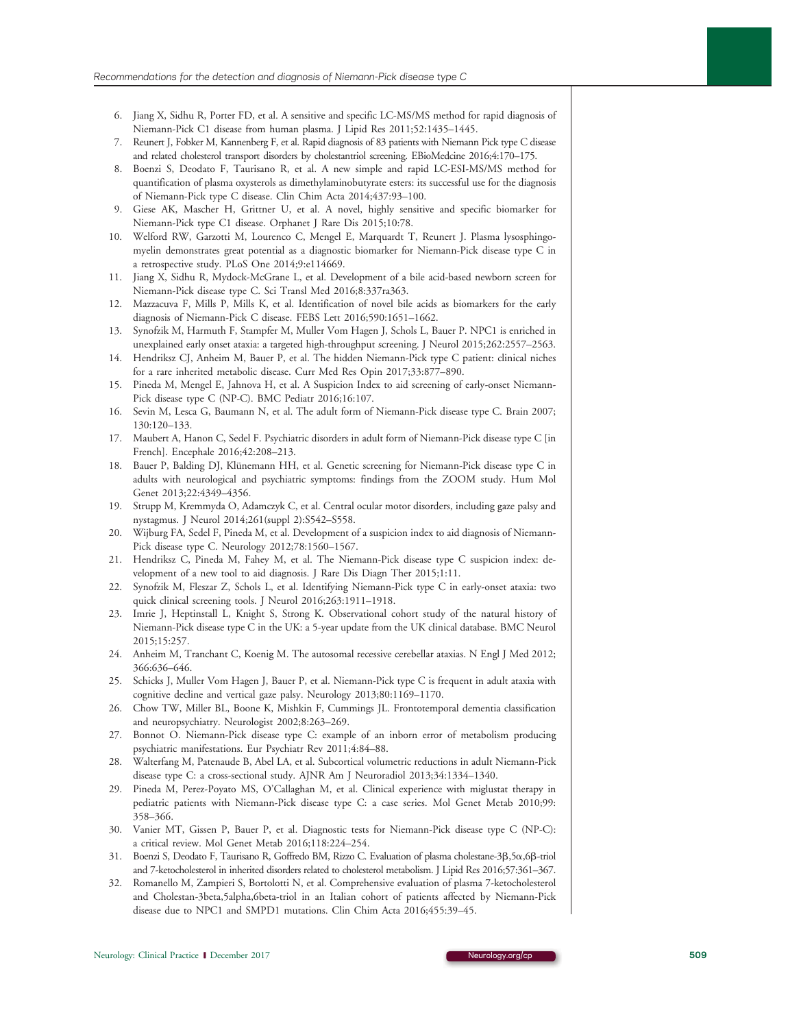- 6. Jiang X, Sidhu R, Porter FD, et al. A sensitive and specific LC-MS/MS method for rapid diagnosis of Niemann-Pick C1 disease from human plasma. J Lipid Res 2011;52:1435–1445.
- 7. Reunert J, Fobker M, Kannenberg F, et al. Rapid diagnosis of 83 patients with Niemann Pick type C disease and related cholesterol transport disorders by cholestantriol screening. EBioMedcine 2016;4:170–175.
- 8. Boenzi S, Deodato F, Taurisano R, et al. A new simple and rapid LC-ESI-MS/MS method for quantification of plasma oxysterols as dimethylaminobutyrate esters: its successful use for the diagnosis of Niemann-Pick type C disease. Clin Chim Acta 2014;437:93–100.
- 9. Giese AK, Mascher H, Grittner U, et al. A novel, highly sensitive and specific biomarker for Niemann-Pick type C1 disease. Orphanet J Rare Dis 2015;10:78.
- 10. Welford RW, Garzotti M, Lourenco C, Mengel E, Marquardt T, Reunert J. Plasma lysosphingomyelin demonstrates great potential as a diagnostic biomarker for Niemann-Pick disease type C in a retrospective study. PLoS One 2014;9:e114669.
- 11. Jiang X, Sidhu R, Mydock-McGrane L, et al. Development of a bile acid-based newborn screen for Niemann-Pick disease type C. Sci Transl Med 2016;8:337ra363.
- 12. Mazzacuva F, Mills P, Mills K, et al. Identification of novel bile acids as biomarkers for the early diagnosis of Niemann-Pick C disease. FEBS Lett 2016;590:1651–1662.
- 13. Synofzik M, Harmuth F, Stampfer M, Muller Vom Hagen J, Schols L, Bauer P. NPC1 is enriched in unexplained early onset ataxia: a targeted high-throughput screening. J Neurol 2015;262:2557–2563.
- 14. Hendriksz CJ, Anheim M, Bauer P, et al. The hidden Niemann-Pick type C patient: clinical niches for a rare inherited metabolic disease. Curr Med Res Opin 2017;33:877–890.
- 15. Pineda M, Mengel E, Jahnova H, et al. A Suspicion Index to aid screening of early-onset Niemann-Pick disease type C (NP-C). BMC Pediatr 2016;16:107.
- 16. Sevin M, Lesca G, Baumann N, et al. The adult form of Niemann-Pick disease type C. Brain 2007; 130:120–133.
- 17. Maubert A, Hanon C, Sedel F. Psychiatric disorders in adult form of Niemann-Pick disease type C [in French]. Encephale 2016;42:208–213.
- 18. Bauer P, Balding DJ, Klünemann HH, et al. Genetic screening for Niemann-Pick disease type C in adults with neurological and psychiatric symptoms: findings from the ZOOM study. Hum Mol Genet 2013;22:4349–4356.
- 19. Strupp M, Kremmyda O, Adamczyk C, et al. Central ocular motor disorders, including gaze palsy and nystagmus. J Neurol 2014;261(suppl 2):S542–S558.
- 20. Wijburg FA, Sedel F, Pineda M, et al. Development of a suspicion index to aid diagnosis of Niemann-Pick disease type C. Neurology 2012;78:1560–1567.
- 21. Hendriksz C, Pineda M, Fahey M, et al. The Niemann-Pick disease type C suspicion index: development of a new tool to aid diagnosis. J Rare Dis Diagn Ther 2015;1:11.
- 22. Synofzik M, Fleszar Z, Schols L, et al. Identifying Niemann-Pick type C in early-onset ataxia: two quick clinical screening tools. J Neurol 2016;263:1911–1918.
- 23. Imrie J, Heptinstall L, Knight S, Strong K. Observational cohort study of the natural history of Niemann-Pick disease type C in the UK: a 5-year update from the UK clinical database. BMC Neurol 2015;15:257.
- 24. Anheim M, Tranchant C, Koenig M. The autosomal recessive cerebellar ataxias. N Engl J Med 2012; 366:636–646.
- 25. Schicks J, Muller Vom Hagen J, Bauer P, et al. Niemann-Pick type C is frequent in adult ataxia with cognitive decline and vertical gaze palsy. Neurology 2013;80:1169–1170.
- 26. Chow TW, Miller BL, Boone K, Mishkin F, Cummings JL. Frontotemporal dementia classification and neuropsychiatry. Neurologist 2002;8:263–269.
- 27. Bonnot O. Niemann-Pick disease type C: example of an inborn error of metabolism producing psychiatric manifestations. Eur Psychiatr Rev 2011;4:84–88.
- 28. Walterfang M, Patenaude B, Abel LA, et al. Subcortical volumetric reductions in adult Niemann-Pick disease type C: a cross-sectional study. AJNR Am J Neuroradiol 2013;34:1334–1340.
- 29. Pineda M, Perez-Poyato MS, O'Callaghan M, et al. Clinical experience with miglustat therapy in pediatric patients with Niemann-Pick disease type C: a case series. Mol Genet Metab 2010;99: 358–366.
- 30. Vanier MT, Gissen P, Bauer P, et al. Diagnostic tests for Niemann-Pick disease type C (NP-C): a critical review. Mol Genet Metab 2016;118:224–254.
- 31. Boenzi S, Deodato F, Taurisano R, Goffredo BM, Rizzo C. Evaluation of plasma cholestane-3b,5a,6b-triol and 7-ketocholesterol in inherited disorders related to cholesterol metabolism. J Lipid Res 2016;57:361–367.
- 32. Romanello M, Zampieri S, Bortolotti N, et al. Comprehensive evaluation of plasma 7-ketocholesterol and Cholestan-3beta,5alpha,6beta-triol in an Italian cohort of patients affected by Niemann-Pick disease due to NPC1 and SMPD1 mutations. Clin Chim Acta 2016;455:39–45.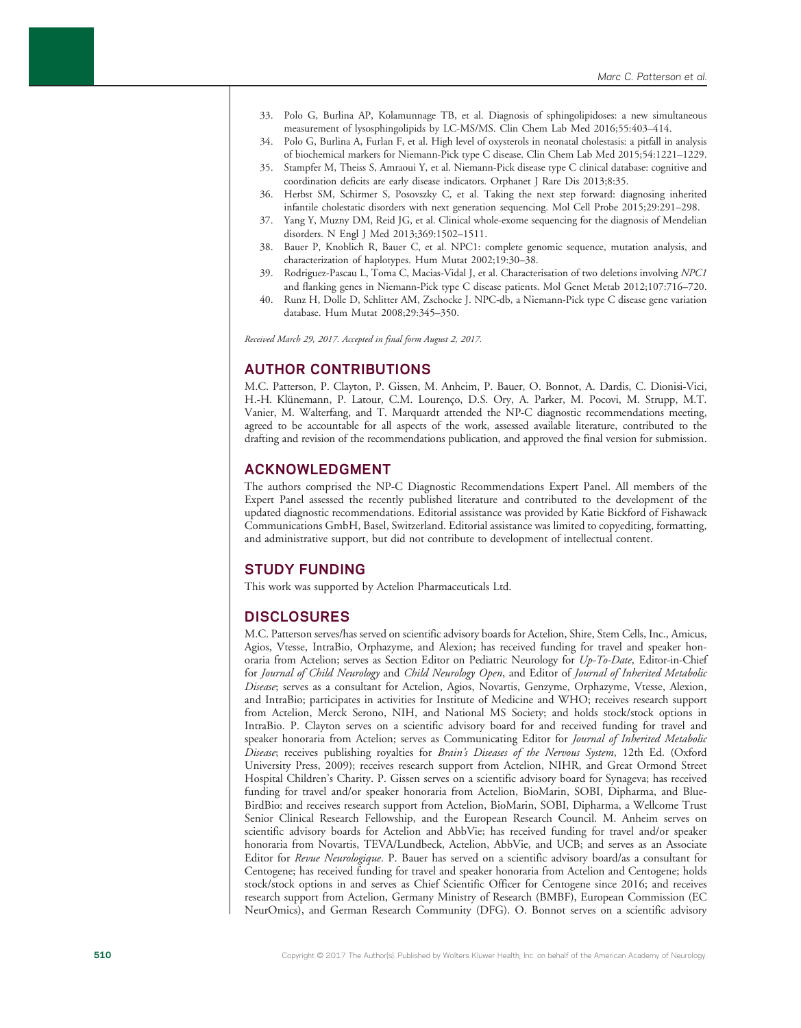- 33. Polo G, Burlina AP, Kolamunnage TB, et al. Diagnosis of sphingolipidoses: a new simultaneous measurement of lysosphingolipids by LC-MS/MS. Clin Chem Lab Med 2016;55:403–414.
- 34. Polo G, Burlina A, Furlan F, et al. High level of oxysterols in neonatal cholestasis: a pitfall in analysis of biochemical markers for Niemann-Pick type C disease. Clin Chem Lab Med 2015;54:1221–1229.
- 35. Stampfer M, Theiss S, Amraoui Y, et al. Niemann-Pick disease type C clinical database: cognitive and coordination deficits are early disease indicators. Orphanet J Rare Dis 2013;8:35.
- 36. Herbst SM, Schirmer S, Posovszky C, et al. Taking the next step forward: diagnosing inherited infantile cholestatic disorders with next generation sequencing. Mol Cell Probe 2015;29:291–298.
- 37. Yang Y, Muzny DM, Reid JG, et al. Clinical whole-exome sequencing for the diagnosis of Mendelian disorders. N Engl J Med 2013;369:1502–1511.
- 38. Bauer P, Knoblich R, Bauer C, et al. NPC1: complete genomic sequence, mutation analysis, and characterization of haplotypes. Hum Mutat 2002;19:30–38.
- 39. Rodriguez-Pascau L, Toma C, Macias-Vidal J, et al. Characterisation of two deletions involving NPC1 and flanking genes in Niemann-Pick type C disease patients. Mol Genet Metab 2012;107:716–720.
- 40. Runz H, Dolle D, Schlitter AM, Zschocke J. NPC-db, a Niemann-Pick type C disease gene variation database. Hum Mutat 2008;29:345–350.

Received March 29, 2017. Accepted in final form August 2, 2017.

### AUTHOR CONTRIBUTIONS

M.C. Patterson, P. Clayton, P. Gissen, M. Anheim, P. Bauer, O. Bonnot, A. Dardis, C. Dionisi-Vici, H.-H. Klünemann, P. Latour, C.M. Lourenço, D.S. Ory, A. Parker, M. Pocovi, M. Strupp, M.T. Vanier, M. Walterfang, and T. Marquardt attended the NP-C diagnostic recommendations meeting, agreed to be accountable for all aspects of the work, assessed available literature, contributed to the drafting and revision of the recommendations publication, and approved the final version for submission.

### ACKNOWLEDGMENT

The authors comprised the NP-C Diagnostic Recommendations Expert Panel. All members of the Expert Panel assessed the recently published literature and contributed to the development of the updated diagnostic recommendations. Editorial assistance was provided by Katie Bickford of Fishawack Communications GmbH, Basel, Switzerland. Editorial assistance was limited to copyediting, formatting, and administrative support, but did not contribute to development of intellectual content.

### STUDY FUNDING

This work was supported by Actelion Pharmaceuticals Ltd.

### **DISCLOSURES**

M.C. Patterson serves/has served on scientific advisory boards for Actelion, Shire, Stem Cells, Inc., Amicus, Agios, Vtesse, IntraBio, Orphazyme, and Alexion; has received funding for travel and speaker honoraria from Actelion; serves as Section Editor on Pediatric Neurology for Up-To-Date, Editor-in-Chief for Journal of Child Neurology and Child Neurology Open, and Editor of Journal of Inherited Metabolic Disease; serves as a consultant for Actelion, Agios, Novartis, Genzyme, Orphazyme, Vtesse, Alexion, and IntraBio; participates in activities for Institute of Medicine and WHO; receives research support from Actelion, Merck Serono, NIH, and National MS Society; and holds stock/stock options in IntraBio. P. Clayton serves on a scientific advisory board for and received funding for travel and speaker honoraria from Actelion; serves as Communicating Editor for Journal of Inherited Metabolic Disease; receives publishing royalties for Brain's Diseases of the Nervous System, 12th Ed. (Oxford University Press, 2009); receives research support from Actelion, NIHR, and Great Ormond Street Hospital Children's Charity. P. Gissen serves on a scientific advisory board for Synageva; has received funding for travel and/or speaker honoraria from Actelion, BioMarin, SOBI, Dipharma, and Blue-BirdBio: and receives research support from Actelion, BioMarin, SOBI, Dipharma, a Wellcome Trust Senior Clinical Research Fellowship, and the European Research Council. M. Anheim serves on scientific advisory boards for Actelion and AbbVie; has received funding for travel and/or speaker honoraria from Novartis, TEVA/Lundbeck, Actelion, AbbVie, and UCB; and serves as an Associate Editor for Revue Neurologique. P. Bauer has served on a scientific advisory board/as a consultant for Centogene; has received funding for travel and speaker honoraria from Actelion and Centogene; holds stock/stock options in and serves as Chief Scientific Officer for Centogene since 2016; and receives research support from Actelion, Germany Ministry of Research (BMBF), European Commission (EC NeurOmics), and German Research Community (DFG). O. Bonnot serves on a scientific advisory